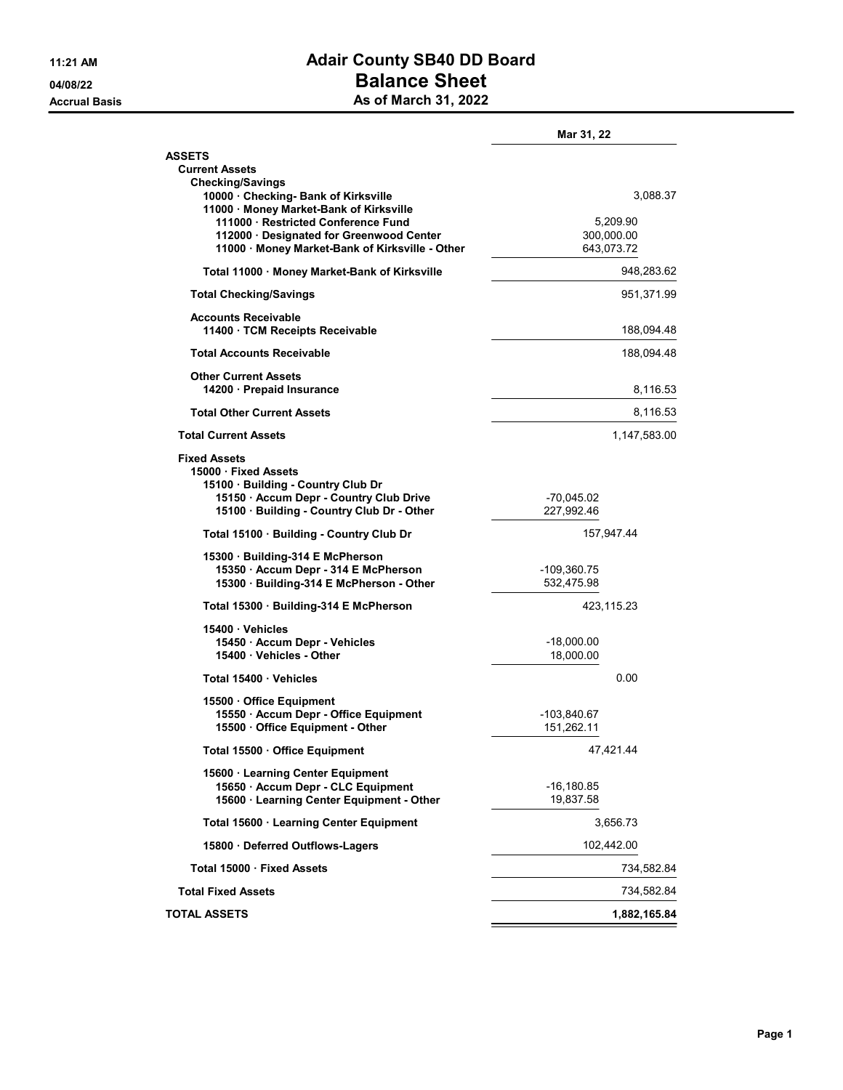## 11:21 AM **Adair County SB40 DD Board** 04/08/22 Dalance Sheet Accrual Basis **As of March 31, 2022**

|                                                                                                                      | Mar 31, 22                |
|----------------------------------------------------------------------------------------------------------------------|---------------------------|
| <b>ASSETS</b>                                                                                                        |                           |
| <b>Current Assets</b>                                                                                                |                           |
| <b>Checking/Savings</b><br>10000 · Checking- Bank of Kirksville<br>11000 · Money Market-Bank of Kirksville           | 3,088.37                  |
| 111000 · Restricted Conference Fund                                                                                  | 5.209.90                  |
| 112000 · Designated for Greenwood Center                                                                             | 300,000.00                |
| 11000 Money Market-Bank of Kirksville - Other                                                                        | 643,073.72                |
| Total 11000 Money Market-Bank of Kirksville                                                                          | 948,283.62                |
| <b>Total Checking/Savings</b>                                                                                        | 951,371.99                |
| <b>Accounts Receivable</b><br>11400 · TCM Receipts Receivable                                                        | 188,094.48                |
| <b>Total Accounts Receivable</b>                                                                                     | 188,094.48                |
| <b>Other Current Assets</b><br>14200 · Prepaid Insurance                                                             | 8,116.53                  |
| <b>Total Other Current Assets</b>                                                                                    | 8,116.53                  |
| <b>Total Current Assets</b>                                                                                          | 1,147,583.00              |
| <b>Fixed Assets</b><br>15000 Fixed Assets<br>15100 · Building - Country Club Dr                                      |                           |
| 15150 · Accum Depr - Country Club Drive<br>15100 · Building - Country Club Dr - Other                                | -70,045.02<br>227,992.46  |
| Total 15100 · Building - Country Club Dr                                                                             | 157,947.44                |
| 15300 · Building-314 E McPherson<br>15350 · Accum Depr - 314 E McPherson<br>15300 · Building-314 E McPherson - Other | -109,360.75<br>532,475.98 |
| Total 15300 Building-314 E McPherson                                                                                 | 423,115.23                |
|                                                                                                                      |                           |
| 15400 Vehicles<br>15450 · Accum Depr - Vehicles                                                                      | -18,000.00                |
| 15400 · Vehicles - Other                                                                                             | 18,000.00                 |
|                                                                                                                      |                           |
| Total 15400 Vehicles                                                                                                 | 0.00                      |
| 15500 Office Equipment                                                                                               |                           |
| 15550 · Accum Depr - Office Equipment<br>15500 Office Equipment - Other                                              | -103,840.67<br>151,262.11 |
|                                                                                                                      |                           |
| Total 15500 Office Equipment                                                                                         | 47,421.44                 |
| 15600 · Learning Center Equipment                                                                                    |                           |
| 15650 · Accum Depr - CLC Equipment<br>15600 · Learning Center Equipment - Other                                      | -16,180.85<br>19,837.58   |
|                                                                                                                      |                           |
| Total 15600 · Learning Center Equipment                                                                              | 3,656.73                  |
| 15800 · Deferred Outflows-Lagers                                                                                     | 102,442.00                |
| Total 15000 · Fixed Assets                                                                                           | 734,582.84                |
| <b>Total Fixed Assets</b>                                                                                            | 734,582.84                |
| <b>TOTAL ASSETS</b>                                                                                                  | 1,882,165.84              |